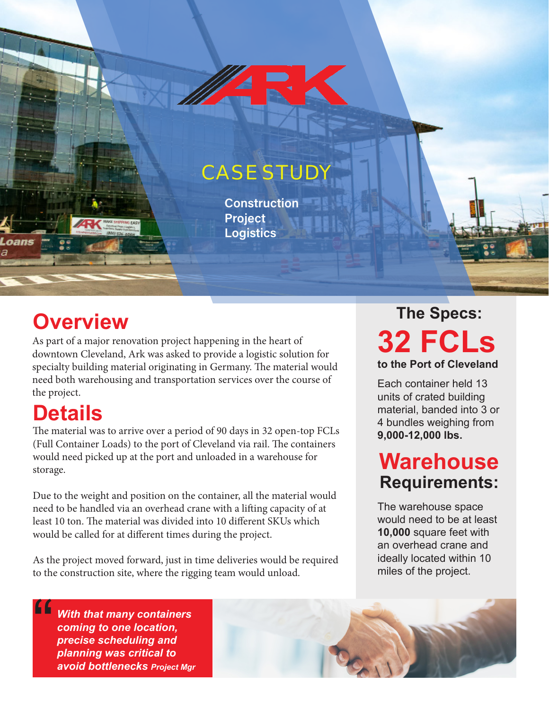## **CASE STUD**

**Construction Project Logistics**

# **Overview**

As part of a major renovation project happening in the heart of downtown Cleveland, Ark was asked to provide a logistic solution for specialty building material originating in Germany. The material would need both warehousing and transportation services over the course of the project.

## **Details**

The material was to arrive over a period of 90 days in 32 open-top FCLs (Full Container Loads) to the port of Cleveland via rail. The containers would need picked up at the port and unloaded in a warehouse for storage.

Due to the weight and position on the container, all the material would need to be handled via an overhead crane with a lifting capacity of at least 10 ton. The material was divided into 10 different SKUs which would be called for at different times during the project.

As the project moved forward, just in time deliveries would be required to the construction site, where the rigging team would unload.

### **32 FCLs to the Port of Cleveland The Specs:**

Each container held 13 units of crated building material, banded into 3 or 4 bundles weighing from **9,000-12,000 lbs.**

## **Warehouse Requirements:**

The warehouse space would need to be at least **10,000** square feet with an overhead crane and ideally located within 10 miles of the project.

*With that many containers coming to one location, precise scheduling and planning was critical to avoid bottlenecks Project Mgr* "<br>"